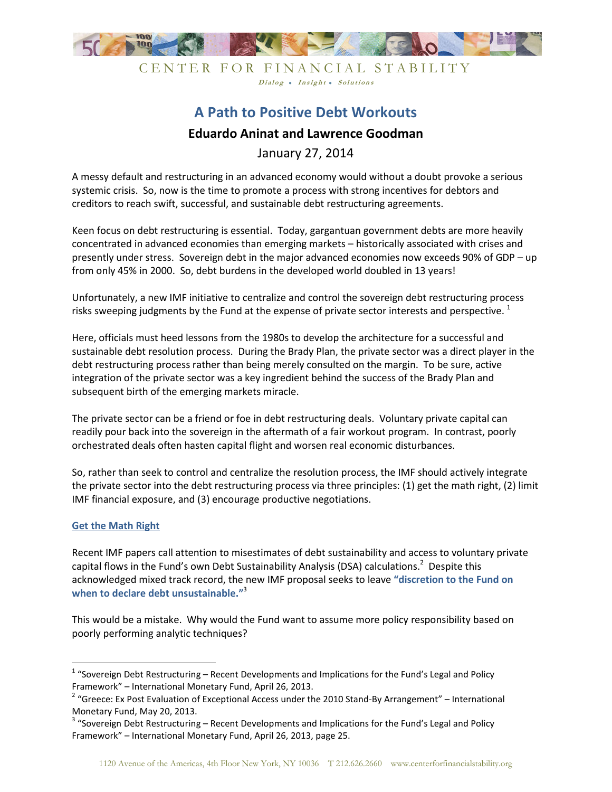

Dialog . Insight . Solutions

## **A Path to Positive Debt Workouts Eduardo Aninat and Lawrence Goodman**

January 27, 2014

A messy default and restructuring in an advanced economy would without a doubt provoke a serious systemic crisis. So, now is the time to promote a process with strong incentives for debtors and creditors to reach swift, successful, and sustainable debt restructuring agreements.

Keen focus on debt restructuring is essential. Today, gargantuan government debts are more heavily concentrated in advanced economies than emerging markets – historically associated with crises and presently under stress. Sovereign debt in the major advanced economies now exceeds 90% of GDP – up from only 45% in 2000. So, debt burdens in the developed world doubled in 13 years!

Unfortunately, a new IMF initiative to centralize and control the sovereign debt restructuring process risks sweeping judgments by the Fund at the expense of private sector interests and perspective.  $^1$ 

Here, officials must heed lessons from the 1980s to develop the architecture for a successful and sustainable debt resolution process. During the Brady Plan, the private sector was a direct player in the debt restructuring process rather than being merely consulted on the margin. To be sure, active integration of the private sector was a key ingredient behind the success of the Brady Plan and subsequent birth of the emerging markets miracle.

The private sector can be a friend or foe in debt restructuring deals. Voluntary private capital can readily pour back into the sovereign in the aftermath of a fair workout program. In contrast, poorly orchestrated deals often hasten capital flight and worsen real economic disturbances.

So, rather than seek to control and centralize the resolution process, the IMF should actively integrate the private sector into the debt restructuring process via three principles: (1) get the math right, (2) limit IMF financial exposure, and (3) encourage productive negotiations.

## **Get the Math Right**

-

Recent IMF papers call attention to misestimates of debt sustainability and access to voluntary private capital flows in the Fund's own Debt Sustainability Analysis (DSA) calculations.<sup>2</sup> Despite this acknowledged mixed track record, the new IMF proposal seeks to leave **"discretion to the Fund on when to declare debt unsustainable."**<sup>3</sup>

This would be a mistake. Why would the Fund want to assume more policy responsibility based on poorly performing analytic techniques?

 $1$  "Sovereign Debt Restructuring – Recent Developments and Implications for the Fund's Legal and Policy Framework" – International Monetary Fund, April 26, 2013.

<sup>&</sup>lt;sup>2</sup> "Greece: Ex Post Evaluation of Exceptional Access under the 2010 Stand-By Arrangement" – International Monetary Fund, May 20, 2013.

<sup>&</sup>lt;sup>3</sup> "Sovereign Debt Restructuring – Recent Developments and Implications for the Fund's Legal and Policy Framework" – International Monetary Fund, April 26, 2013, page 25.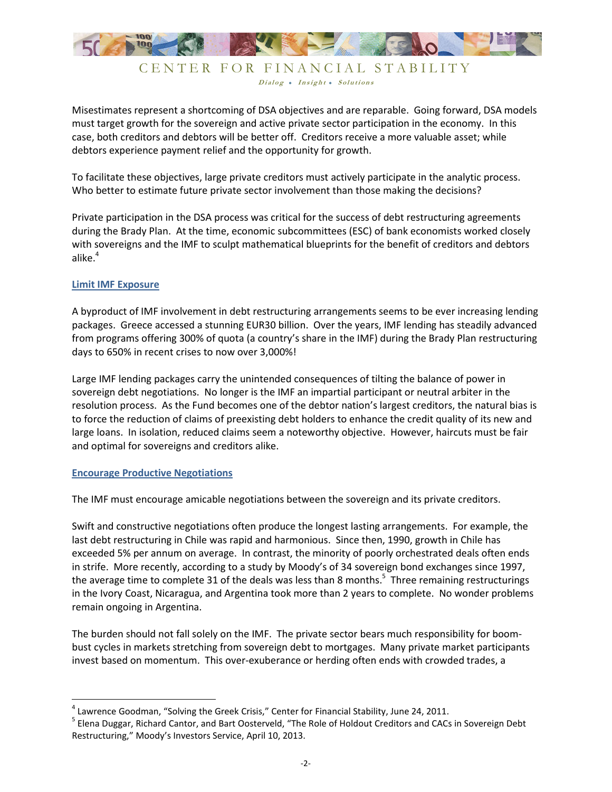

Dialog . Insight . Solutions

Misestimates represent a shortcoming of DSA objectives and are reparable. Going forward, DSA models must target growth for the sovereign and active private sector participation in the economy. In this case, both creditors and debtors will be better off. Creditors receive a more valuable asset; while debtors experience payment relief and the opportunity for growth.

To facilitate these objectives, large private creditors must actively participate in the analytic process. Who better to estimate future private sector involvement than those making the decisions?

Private participation in the DSA process was critical for the success of debt restructuring agreements during the Brady Plan. At the time, economic subcommittees (ESC) of bank economists worked closely with sovereigns and the IMF to sculpt mathematical blueprints for the benefit of creditors and debtors alike.<sup>4</sup>

## **Limit IMF Exposure**

A byproduct of IMF involvement in debt restructuring arrangements seems to be ever increasing lending packages. Greece accessed a stunning EUR30 billion. Over the years, IMF lending has steadily advanced from programs offering 300% of quota (a country's share in the IMF) during the Brady Plan restructuring days to 650% in recent crises to now over 3,000%!

Large IMF lending packages carry the unintended consequences of tilting the balance of power in sovereign debt negotiations. No longer is the IMF an impartial participant or neutral arbiter in the resolution process. As the Fund becomes one of the debtor nation's largest creditors, the natural bias is to force the reduction of claims of preexisting debt holders to enhance the credit quality of its new and large loans. In isolation, reduced claims seem a noteworthy objective. However, haircuts must be fair and optimal for sovereigns and creditors alike.

## **Encourage Productive Negotiations**

<u>.</u>

The IMF must encourage amicable negotiations between the sovereign and its private creditors.

Swift and constructive negotiations often produce the longest lasting arrangements. For example, the last debt restructuring in Chile was rapid and harmonious. Since then, 1990, growth in Chile has exceeded 5% per annum on average. In contrast, the minority of poorly orchestrated deals often ends in strife. More recently, according to a study by Moody's of 34 sovereign bond exchanges since 1997, the average time to complete 31 of the deals was less than 8 months.<sup>5</sup> Three remaining restructurings in the Ivory Coast, Nicaragua, and Argentina took more than 2 years to complete. No wonder problems remain ongoing in Argentina.

The burden should not fall solely on the IMF. The private sector bears much responsibility for boombust cycles in markets stretching from sovereign debt to mortgages. Many private market participants invest based on momentum. This over-exuberance or herding often ends with crowded trades, a

<sup>&</sup>lt;sup>4</sup> Lawrence Goodman, "Solving the Greek Crisis," Center for Financial Stability, June 24, 2011.

<sup>&</sup>lt;sup>5</sup> Elena Duggar, Richard Cantor, and Bart Oosterveld, "The Role of Holdout Creditors and CACs in Sovereign Debt Restructuring," Moody's Investors Service, April 10, 2013.